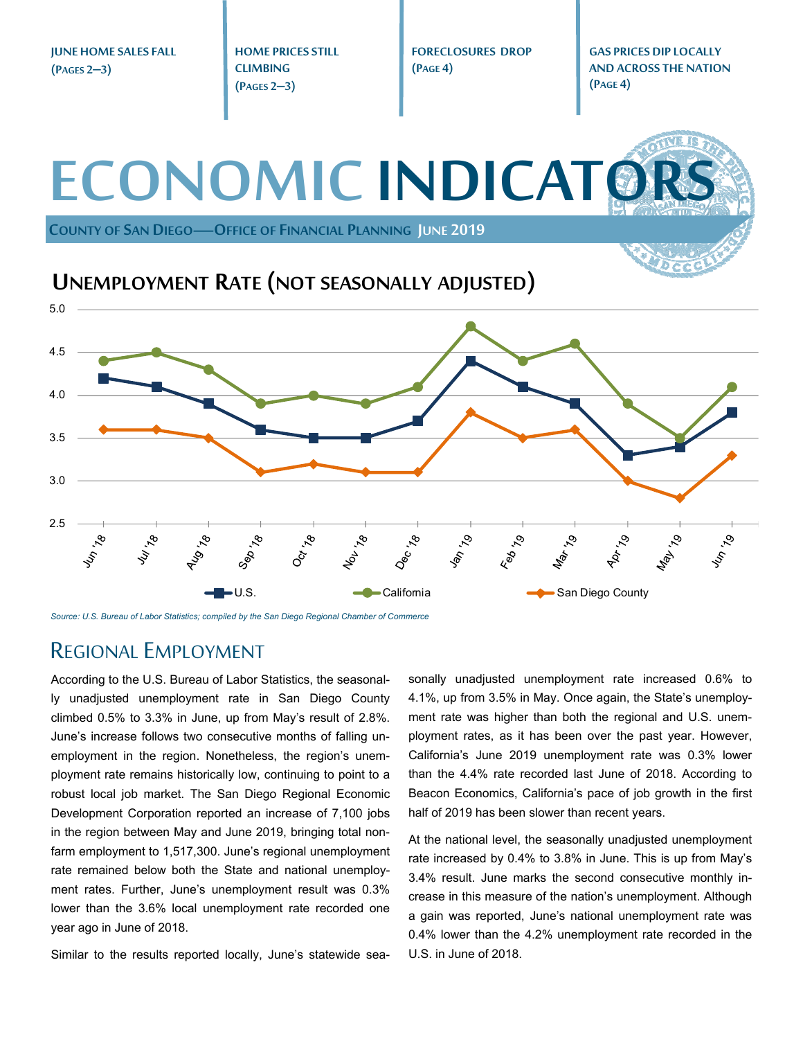**JUNE HOME SALES FALL (PAGES 2–3)** 

**HOME PRICES STILL CLIMBING (PAGES 2–3)** 

**FORECLOSURES DROP (PAGE 4)** 

**GAS PRICES DIP LOCALLY AND ACROSS THE NATION (PAGE 4)** 

**ECONOMIC INDICATO** 

**COUNTY OF SAN DIEGO—OFFICE OF FINANCIAL PLANNING JUNE 2019**

**UNEMPLOYMENT RATE (NOT SEASONALLY ADJUSTED)**



*Source: U.S. Bureau of Labor Statistics; compiled by the San Diego Regional Chamber of Commerce* 

#### REGIONAL EMPLOYMENT

According to the U.S. Bureau of Labor Statistics, the seasonally unadjusted unemployment rate in San Diego County climbed 0.5% to 3.3% in June, up from May's result of 2.8%. June's increase follows two consecutive months of falling unemployment in the region. Nonetheless, the region's unemployment rate remains historically low, continuing to point to a robust local job market. The San Diego Regional Economic Development Corporation reported an increase of 7,100 jobs in the region between May and June 2019, bringing total nonfarm employment to 1,517,300. June's regional unemployment rate remained below both the State and national unemployment rates. Further, June's unemployment result was 0.3% lower than the 3.6% local unemployment rate recorded one year ago in June of 2018.

Similar to the results reported locally, June's statewide sea-

sonally unadjusted unemployment rate increased 0.6% to 4.1%, up from 3.5% in May. Once again, the State's unemployment rate was higher than both the regional and U.S. unemployment rates, as it has been over the past year. However, California's June 2019 unemployment rate was 0.3% lower than the 4.4% rate recorded last June of 2018. According to Beacon Economics, California's pace of job growth in the first half of 2019 has been slower than recent years.

At the national level, the seasonally unadjusted unemployment rate increased by 0.4% to 3.8% in June. This is up from May's 3.4% result. June marks the second consecutive monthly increase in this measure of the nation's unemployment. Although a gain was reported, June's national unemployment rate was 0.4% lower than the 4.2% unemployment rate recorded in the U.S. in June of 2018.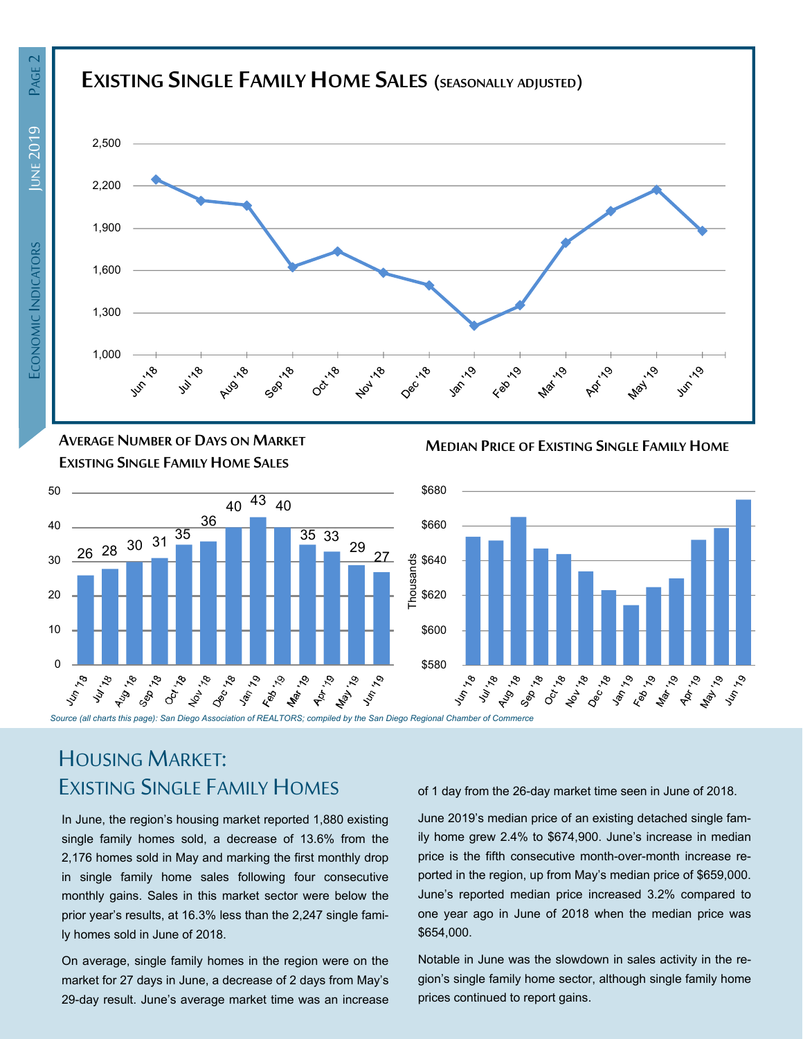## **EXISTING SINGLE FAMILY HOMESALES (SEASONALLY ADJUSTED)**



 \$68050  $40^{43}$  40 36 \$660 40 <sup>26</sup> <sup>28</sup> <sup>30</sup> <sup>31</sup> <sup>35</sup> 35 33  $29<sub>27</sub>$ termos<br>
sures<br>
formations<br>
formations<br>
formations<br>
formations<br>
formations<br>
formations<br>
formations<br>
formations<br>
formations<br>
formations<br>
formations<br>
formations<br>
formations<br>
formations<br>
formations<br>
formations<br>
formations<br>
for Thousands \$640 30 20 10 \$600  $\Omega$  \$580 حب جو محب حب جو المجمع المعرض المجمع المجمع المجمع المجمع المجمع المجمع المجمع المجمع المجمع المجمع المجمع المجمع المجمع المجمع المجمع المجمع المجمع المجمع المجمع المجمع المجمع المجمع المجمع المجمع المجمع المجمع المجمع ال Dec. 199 1917.79 Octrigo **Ashira**  $\mathfrak{S}$ LA, **May** 

**MEDIAN PRICE OF EXISTING SINGLE FAMILY HOME**



# HOUSING MARKET: EXISTING SINGLE FAMILY HOMES

**AVERAGE NUMBER OF DAYS ON MARKET EXISTING SINGLE FAMILY HOME SALES**

In June, the region's housing market reported 1,880 existing single family homes sold, a decrease of 13.6% from the 2,176 homes sold in May and marking the first monthly drop in single family home sales following four consecutive monthly gains. Sales in this market sector were below the prior year's results, at 16.3% less than the 2,247 single family homes sold in June of 2018.

On average, single family homes in the region were on the market for 27 days in June, a decrease of 2 days from May's 29-day result. June's average market time was an increase of 1 day from the 26-day market time seen in June of 2018.

June 2019's median price of an existing detached single family home grew 2.4% to \$674,900. June's increase in median price is the fifth consecutive month-over-month increase reported in the region, up from May's median price of \$659,000. June's reported median price increased 3.2% compared to one year ago in June of 2018 when the median price was \$654,000.

Notable in June was the slowdown in sales activity in the region's single family home sector, although single family home prices continued to report gains.

**PAGE** 

**UNE 2019**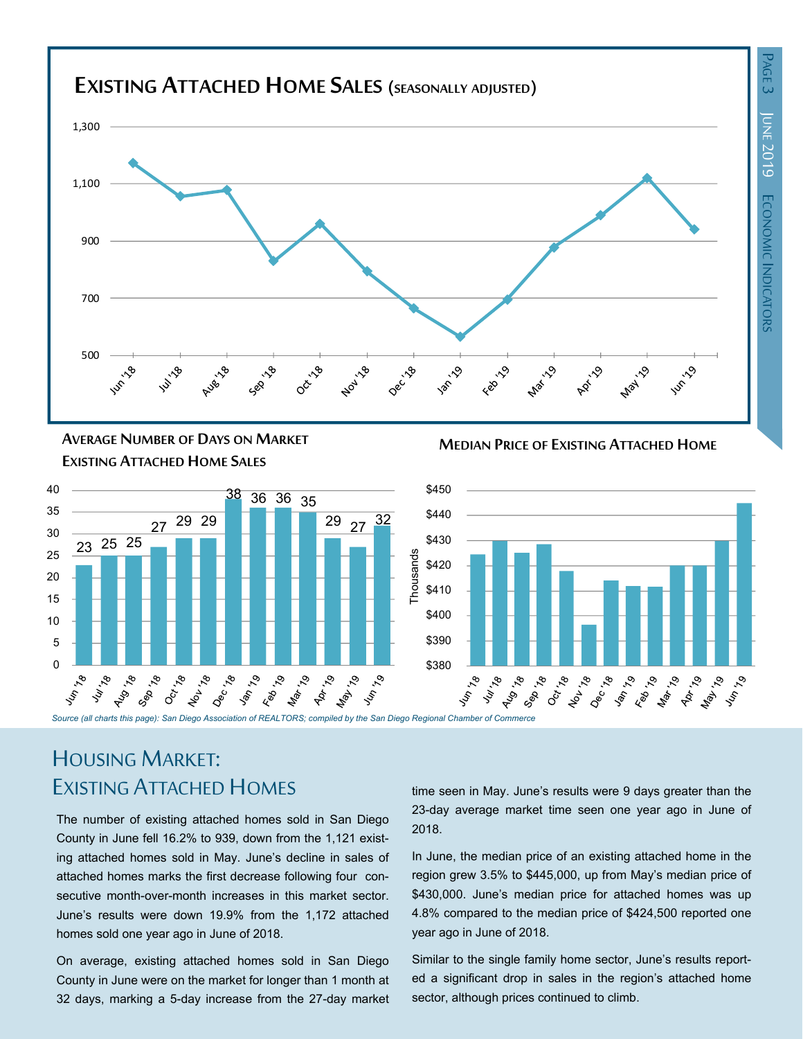

**MEDIAN PRICE OF EXISTING ATTACHED HOME AVERAGE NUMBER OF DAYS ON MARKET EXISTING ATTACHED HOME SALES**



# HOUSING MARKET: EXISTING ATTACHED HOMES

The number of existing attached homes sold in San Diego County in June fell 16.2% to 939, down from the 1,121 existing attached homes sold in May. June's decline in sales of attached homes marks the first decrease following four consecutive month-over-month increases in this market sector. June's results were down 19.9% from the 1,172 attached homes sold one year ago in June of 2018.

On average, existing attached homes sold in San Diego County in June were on the market for longer than 1 month at 32 days, marking a 5-day increase from the 27-day market time seen in May. June's results were 9 days greater than the 23-day average market time seen one year ago in June of 2018.

In June, the median price of an existing attached home in the region grew 3.5% to \$445,000, up from May's median price of \$430,000. June's median price for attached homes was up 4.8% compared to the median price of \$424,500 reported one year ago in June of 2018.

Similar to the single family home sector, June's results reported a significant drop in sales in the region's attached home sector, although prices continued to climb.